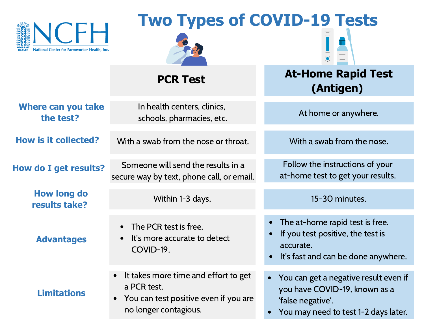

# **Two Types of COVID-19 Tests**



**PCR Test**

In health centers, clinics,

## **At-Home Rapid Test (Antigen)**

With a swab from the nose.

Follow the instructions of your at-home test to get your results.

15-30 minutes.

- The at-home rapid test is free.
- If you test positive, the test is accurate.
- It's fast and can be done anywhere.
- You can get a negative result even if you have COVID-19, known as a 'false negative'.
- You may need to test 1-2 days later.

**e carr you take** the interfact of the startings, curries, curries, the starting of At home or anywhere. **Where can you take**

**How is it collected?** With a swab from the nose or throat.

**How do I get results?**

**How long do results take?**

**Advantages**

**Limitations**

Someone will send the results in a secure way by text, phone call, or email.

Within 1-3 days.

- The PCR test is free.
- It's more accurate to detect COVID-19.
- It takes more time and effort to get a PCR test.
- You can test positive even if you are no longer contagious.